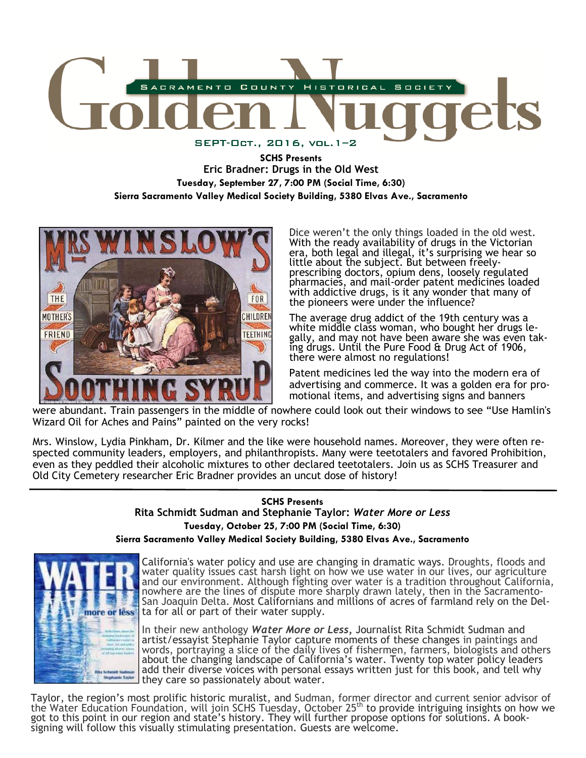

**SCHS Presents Eric Bradner: Drugs in the Old West Tuesday, September 27, 7:00 PM (Social Time, 6:30) Sierra Sacramento Valley Medical Society Building, 5380 Elvas Ave., Sacramento** 



Dice weren't the only things loaded in the old west. With the ready availability of drugs in the Victorian era, both legal and illegal, it's surprising we hear so little about the subject. But between freelyprescribing doctors, opium dens, loosely regulated pharmacies, and mail-order patent medicines loaded with addictive drugs, is it any wonder that many of the pioneers were under the influence?

The average drug addict of the 19th century was a white middle class woman, who bought her drugs legally, and may not have been aware she was even taking drugs. Until the Pure Food & Drug Act of 1906, there were almost no regulations!

Patent medicines led the way into the modern era of advertising and commerce. It was a golden era for promotional items, and advertising signs and banners

were abundant. Train passengers in the middle of nowhere could look out their windows to see "Use Hamlin's Wizard Oil for Aches and Pains" painted on the very rocks!

Mrs. Winslow, Lydia Pinkham, Dr. Kilmer and the like were household names. Moreover, they were often respected community leaders, employers, and philanthropists. Many were teetotalers and favored Prohibition, even as they peddled their alcoholic mixtures to other declared teetotalers. Join us as SCHS Treasurer and Old City Cemetery researcher Eric Bradner provides an uncut dose of history!

# **SCHS Presents Rita Schmidt Sudman and Stephanie Taylor:** *Water More or Less* **Tuesday, October 25, 7:00 PM (Social Time, 6:30) Sierra Sacramento Valley Medical Society Building, 5380 Elvas Ave., Sacramento**



California's water policy and use are changing in dramatic ways. Droughts, floods and water quality issues cast harsh light on how we use water in our lives, our agriculture and our environment. Although fighting over water is a tradition throughout California, nowhere are the lines of dispute more sharply drawn lately, then in the Sacramento-San Joaquin Delta. Most Californians and millions of acres of farmland rely on the Delta for all or part of their water supply.

In their new anthology *Water More or Less***,** Journalist Rita Schmidt Sudman and artist/essayist Stephanie Taylor capture moments of these changes in paintings and words, portraying a slice of the daily lives of fishermen, farmers, biologists and others about the changing landscape of California's water. Twenty top water policy leaders add their diverse voices with personal essays written just for this book, and tell why they care so passionately about water.

Taylor, the region's most prolific historic muralist, and Sudman, former director and current senior advisor of the Water Education Foundation, will join SCHS Tuesday, October 25th to provide intriguing insights on how we got to this point in our region and state's history. They will further propose options for solutions. A booksigning will follow this visually stimulating presentation. Guests are welcome.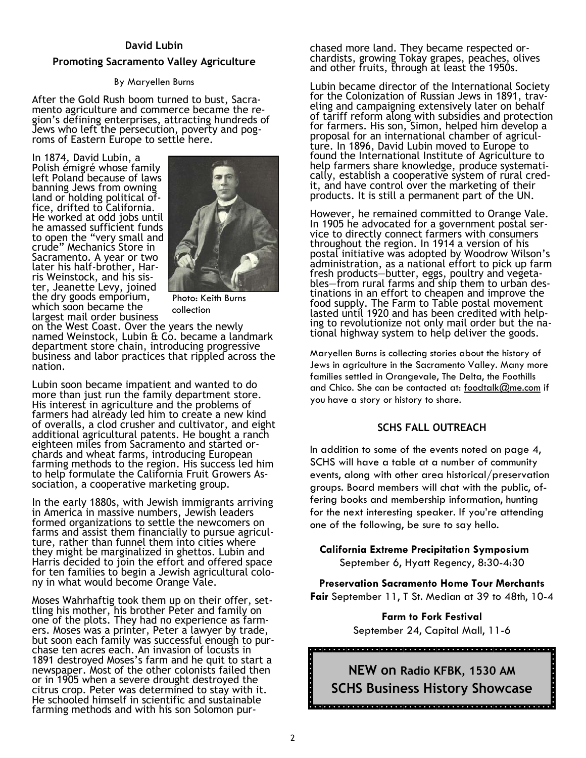#### **David Lubin**

#### **Promoting Sacramento Valley Agriculture**

#### By Maryellen Burns

After the Gold Rush boom turned to bust, Sacramento agriculture and commerce became the region's defining enterprises, attracting hundreds of Jews who left the persecution, poverty and pogroms of Eastern Europe to settle here.

In 1874, David Lubin, a Polish émigré whose family left Poland because of laws banning Jews from owning land or holding political office, drifted to California. He worked at odd jobs until he amassed sufficient funds to open the "very small and crude" Mechanics Store in Sacramento. A year or two later his half-brother, Harris Weinstock, and his sister, Jeanette Levy, joined the dry goods emporium, which soon became the largest mail order business



Photo: Keith Burns collection

on the West Coast. Over the years the newly named Weinstock, Lubin & Co. became a landmark department store chain, introducing progressive business and labor practices that rippled across the nation.

Lubin soon became impatient and wanted to do more than just run the family department store. His interest in agriculture and the problems of farmers had already led him to create a new kind of overalls, a clod crusher and cultivator, and eight additional agricultural patents. He bought a ranch eighteen miles from Sacramento and started orchards and wheat farms, introducing European farming methods to the region. His success led him to help formulate the California Fruit Growers Association, a cooperative marketing group.

In the early 1880s, with Jewish immigrants arriving in America in massive numbers, Jewish leaders formed organizations to settle the newcomers on farms and assist them financially to pursue agriculture, rather than funnel them into cities where they might be marginalized in ghettos. Lubin and Harris decided to join the effort and offered space for ten families to begin a Jewish agricultural colony in what would become Orange Vale.

Moses Wahrhaftig took them up on their offer, settling his mother, his brother Peter and family on one of the plots. They had no experience as farmers. Moses was a printer, Peter a lawyer by trade, but soon each family was successful enough to purchase ten acres each. An invasion of locusts in 1891 destroyed Moses's farm and he quit to start a newspaper. Most of the other colonists failed then or in 1905 when a severe drought destroyed the citrus crop. Peter was determined to stay with it. He schooled himself in scientific and sustainable farming methods and with his son Solomon purchased more land. They became respected orchardists, growing Tokay grapes, peaches, olives and other fruits, through at least the 1950s.

Lubin became director of the International Society for the Colonization of Russian Jews in 1891, traveling and campaigning extensively later on behalf of tariff reform along with subsidies and protection for farmers. His son, Simon, helped him develop a proposal for an international chamber of agriculture. In 1896, David Lubin moved to Europe to found the International Institute of Agriculture to help farmers share knowledge, produce systematically, establish a cooperative system of rural credit, and have control over the marketing of their products. It is still a permanent part of the UN.

However, he remained committed to Orange Vale. In 1905 he advocated for a government postal service to directly connect farmers with consumers throughout the region. In 1914 a version of his postal initiative was adopted by Woodrow Wilson's administration, as a national effort to pick up farm fresh products—butter, eggs, poultry and vegetables—from rural farms and ship them to urban destinations in an effort to cheapen and improve the food supply. The Farm to Table postal movement lasted until 1920 and has been credited with helping to revolutionize not only mail order but the national highway system to help deliver the goods.

Maryellen Burns is collecting stories about the history of Jews in agriculture in the Sacramento Valley. Many more families settled in Orangevale, The Delta, the Foothills and Chico. She can be contacted at: foodtalk@me.com if you have a story or history to share.

#### **SCHS FALL OUTREACH**

In addition to some of the events noted on page 4, SCHS will have a table at a number of community events, along with other area historical/preservation groups. Board members will chat with the public, offering books and membership information, hunting for the next interesting speaker. If you're attending one of the following, be sure to say hello.

 **California Extreme Precipitation Symposium** September 6, Hyatt Regency, 8:30-4:30

**Preservation Sacramento Home Tour Merchants Fair** September 11, T St. Median at 39 to 48th, 10-4

> **Farm to Fork Festival** September 24, Capital Mall, 11-6

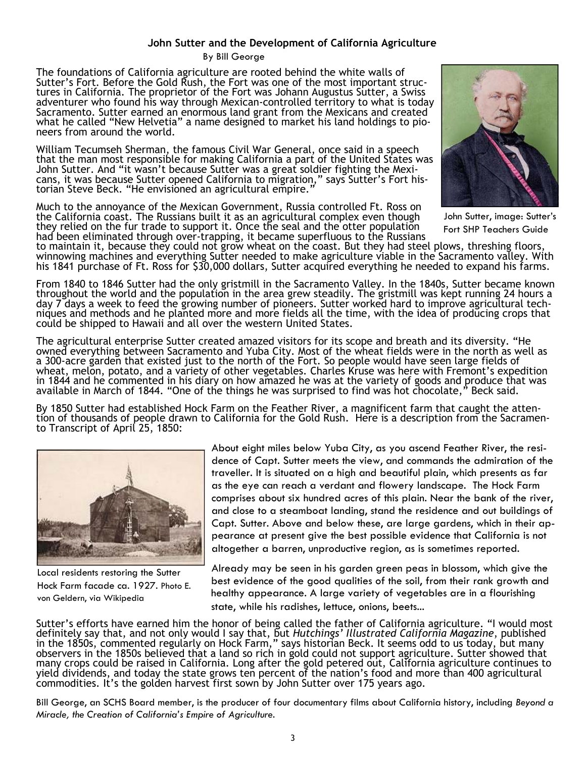# **John Sutter and the Development of California Agriculture**

By Bill George

The foundations of California agriculture are rooted behind the white walls of Sutter's Fort. Before the Gold Rush, the Fort was one of the most important structures in California. The proprietor of the Fort was Johann Augustus Sutter, a Swiss adventurer who found his way through Mexican-controlled territory to what is today Sacramento. Sutter earned an enormous land grant from the Mexicans and created what he called "New Helvetia" a name designed to market his land holdings to pioneers from around the world.

William Tecumseh Sherman, the famous Civil War General, once said in a speech that the man most responsible for making California a part of the United States was John Sutter. And "it wasn't because Sutter was a great soldier fighting the Mexicans, it was because Sutter opened California to migration," says Sutter's Fort historian Steve Beck. "He envisioned an agricultural empire."

Much to the annoyance of the Mexican Government, Russia controlled Ft. Ross on the California coast. The Russians built it as an agricultural complex even though they relied on the fur trade to support it. Once the seal and the otter population had been eliminated through over-trapping, it became superfluous to the Russians



John Sutter, image: Sutter's Fort SHP Teachers Guide

to maintain it, because they could not grow wheat on the coast. But they had steel plows, threshing floors, winnowing machines and everything Sutter needed to make agriculture viable in the Sacramento valley. With his 1841 purchase of Ft. Ross for \$30,000 dollars, Sutter acquired everything he needed to expand his farms.

From 1840 to 1846 Sutter had the only gristmill in the Sacramento Valley. In the 1840s, Sutter became known throughout the world and the population in the area grew steadily. The gristmill was kept running 24 hours a day 7 days a week to feed the growing number of pioneers. Sutter worked hard to improve agricultural techniques and methods and he planted more and more fields all the time, with the idea of producing crops that could be shipped to Hawaii and all over the western United States.

The agricultural enterprise Sutter created amazed visitors for its scope and breath and its diversity. "He owned everything between Sacramento and Yuba City. Most of the wheat fields were in the north as well as a 300-acre garden that existed just to the north of the Fort. So people would have seen large fields of wheat, melon, potato, and a variety of other vegetables. Charles Kruse was here with Fremont's expedition in 1844 and he commented in his diary on how amazed he was at the variety of goods and produce that was available in March of 1844. "One of the things he was surprised to find was hot chocolate," Beck said.

By 1850 Sutter had established Hock Farm on the Feather River, a magnificent farm that caught the attention of thousands of people drawn to California for the Gold Rush. Here is a description from the Sacramento Transcript of April 25, 1850:



Local residents restoring the Sutter Hock Farm facade ca. 1927. Photo E. von Geldern, via Wikipedia

About eight miles below Yuba City, as you ascend Feather River, the residence of Capt. Sutter meets the view, and commands the admiration of the traveller. It is situated on a high and beautiful plain, which presents as far as the eye can reach a verdant and flowery landscape. The Hock Farm comprises about six hundred acres of this plain. Near the bank of the river, and close to a steamboat landing, stand the residence and out buildings of Capt. Sutter. Above and below these, are large gardens, which in their appearance at present give the best possible evidence that California is not altogether a barren, unproductive region, as is sometimes reported.

Already may be seen in his garden green peas in blossom, which give the best evidence of the good qualities of the soil, from their rank growth and healthy appearance. A large variety of vegetables are in a flourishing state, while his radishes, lettuce, onions, beets...

Sutter's efforts have earned him the honor of being called the father of California agriculture. "I would most definitely say that, and not only would I say that, but *Hutchings' Illustrated California Magazine*, published in the 1850s, commented regularly on Hock Farm," says historian Beck. It seems odd to us today, but many observers in the 1850s believed that a land so rich in gold could not support agriculture. Sutter showed that many crops could be raised in California. Long after the gold petered out, California agriculture continues to yield dividends, and today the state grows ten percent of the nation's food and more than 400 agricultural commodities. It's the golden harvest first sown by John Sutter over 175 years ago.

Bill George, an SCHS Board member, is the producer of four documentary films about California history, including *Beyond a Miracle, the Creation of California's Empire of Agriculture.*